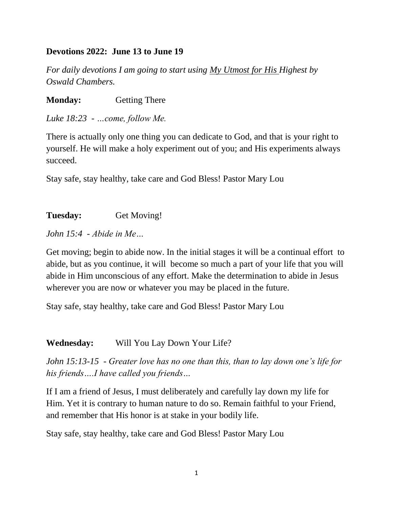#### **Devotions 2022: June 13 to June 19**

*For daily devotions I am going to start using My Utmost for His Highest by Oswald Chambers.*

**Monday:** Getting There

*Luke 18:23 - …come, follow Me.*

There is actually only one thing you can dedicate to God, and that is your right to yourself. He will make a holy experiment out of you; and His experiments always succeed.

Stay safe, stay healthy, take care and God Bless! Pastor Mary Lou

**Tuesday:** Get Moving!

*John 15:4 - Abide in Me…*

Get moving; begin to abide now. In the initial stages it will be a continual effort to abide, but as you continue, it will become so much a part of your life that you will abide in Him unconscious of any effort. Make the determination to abide in Jesus wherever you are now or whatever you may be placed in the future.

Stay safe, stay healthy, take care and God Bless! Pastor Mary Lou

**Wednesday:** Will You Lay Down Your Life?

*John 15:13-15 - Greater love has no one than this, than to lay down one's life for his friends….I have called you friends…*

If I am a friend of Jesus, I must deliberately and carefully lay down my life for Him. Yet it is contrary to human nature to do so. Remain faithful to your Friend, and remember that His honor is at stake in your bodily life.

Stay safe, stay healthy, take care and God Bless! Pastor Mary Lou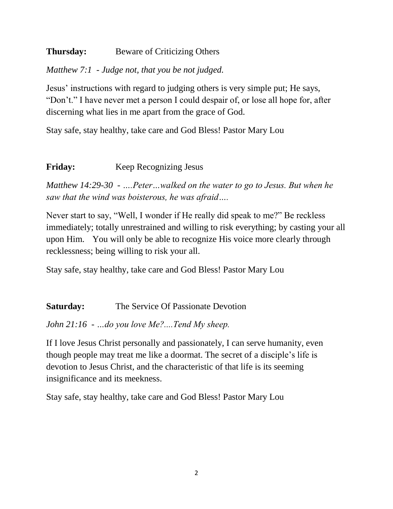#### **Thursday:** Beware of Criticizing Others

## *Matthew 7:1 - Judge not, that you be not judged.*

Jesus' instructions with regard to judging others is very simple put; He says, "Don't." I have never met a person I could despair of, or lose all hope for, after discerning what lies in me apart from the grace of God.

Stay safe, stay healthy, take care and God Bless! Pastor Mary Lou

## **Friday:** Keep Recognizing Jesus

*Matthew 14:29-30 - ….Peter…walked on the water to go to Jesus. But when he saw that the wind was boisterous, he was afraid….*

Never start to say, "Well, I wonder if He really did speak to me?" Be reckless immediately; totally unrestrained and willing to risk everything; by casting your all upon Him. You will only be able to recognize His voice more clearly through recklessness; being willing to risk your all.

Stay safe, stay healthy, take care and God Bless! Pastor Mary Lou

**Saturday:** The Service Of Passionate Devotion

*John 21:16 - …do you love Me?....Tend My sheep.*

If I love Jesus Christ personally and passionately, I can serve humanity, even though people may treat me like a doormat. The secret of a disciple's life is devotion to Jesus Christ, and the characteristic of that life is its seeming insignificance and its meekness.

Stay safe, stay healthy, take care and God Bless! Pastor Mary Lou